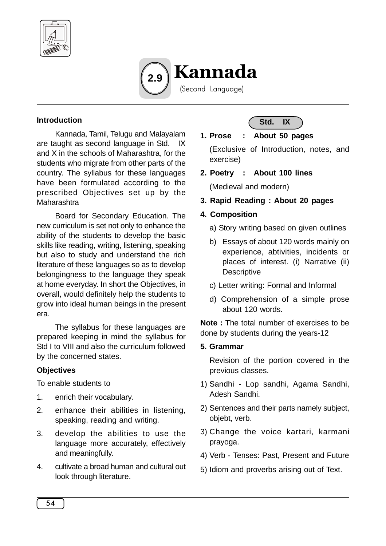



### **Introduction**

Kannada, Tamil, Telugu and Malayalam are taught as second language in Std. IX and X in the schools of Maharashtra, for the students who migrate from other parts of the country. The syllabus for these languages have been formulated according to the prescribed Objectives set up by the **Maharashtra** 

Board for Secondary Education. The new curriculum is set not only to enhance the ability of the students to develop the basic skills like reading, writing, listening, speaking but also to study and understand the rich literature of these languages so as to develop belongingness to the language they speak at home everyday. In short the Objectives, in overall, would definitely help the students to grow into ideal human beings in the present era.

The syllabus for these languages are prepared keeping in mind the syllabus for Std I to VIII and also the curriculum followed by the concerned states.

#### **Objectives**

To enable students to

- 1. enrich their vocabulary.
- 2. enhance their abilities in listening, speaking, reading and writing.
- 3. develop the abilities to use the language more accurately, effectively and meaningfully.
- 4. cultivate a broad human and cultural out look through literature.



## **1. Prose : About 50 pages**

(Exclusive of Introduction, notes, and exercise)

**2. Poetry : About 100 lines**

(Medieval and modern)

**3. Rapid Reading : About 20 pages**

## **4. Composition**

- a) Story writing based on given outlines
- b) Essays of about 120 words mainly on experience, abtivities, incidents or places of interest. (i) Narrative (ii) **Descriptive**
- c) Letter writing: Formal and Informal
- d) Comprehension of a simple prose about 120 words.

**Note :** The total number of exercises to be done by students during the years-12

#### **5. Grammar**

Revision of the portion covered in the previous classes.

- 1) Sandhi Lop sandhi, Agama Sandhi, Adesh Sandhi.
- 2) Sentences and their parts namely subject, objebt, verb.
- 3) Change the voice kartari, karmani prayoga.
- 4) Verb Tenses: Past, Present and Future
- 5) Idiom and proverbs arising out of Text.